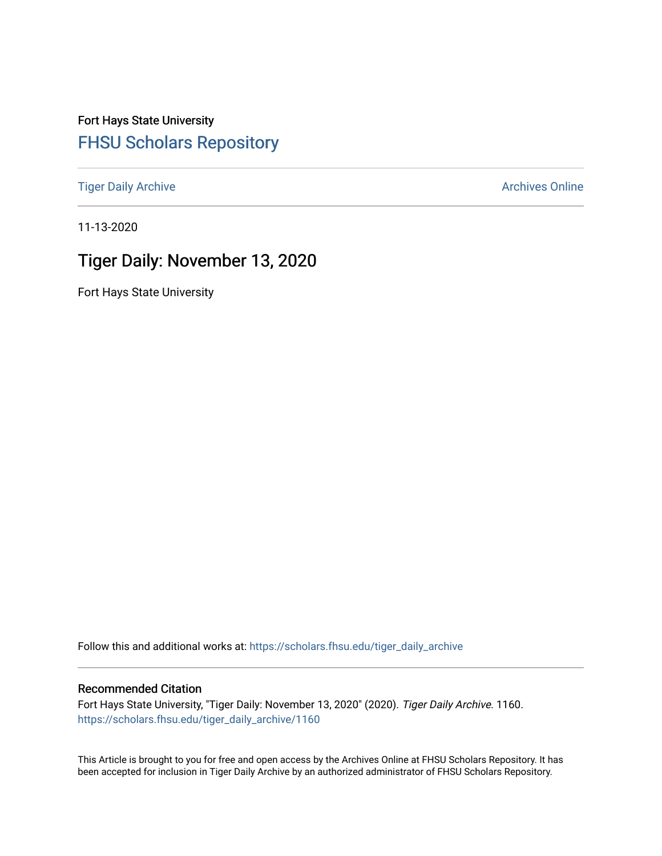Fort Hays State University [FHSU Scholars Repository](https://scholars.fhsu.edu/) 

[Tiger Daily Archive](https://scholars.fhsu.edu/tiger_daily_archive) **Archives** Online Archives Online

11-13-2020

# Tiger Daily: November 13, 2020

Fort Hays State University

Follow this and additional works at: [https://scholars.fhsu.edu/tiger\\_daily\\_archive](https://scholars.fhsu.edu/tiger_daily_archive?utm_source=scholars.fhsu.edu%2Ftiger_daily_archive%2F1160&utm_medium=PDF&utm_campaign=PDFCoverPages)

#### Recommended Citation

Fort Hays State University, "Tiger Daily: November 13, 2020" (2020). Tiger Daily Archive. 1160. [https://scholars.fhsu.edu/tiger\\_daily\\_archive/1160](https://scholars.fhsu.edu/tiger_daily_archive/1160?utm_source=scholars.fhsu.edu%2Ftiger_daily_archive%2F1160&utm_medium=PDF&utm_campaign=PDFCoverPages)

This Article is brought to you for free and open access by the Archives Online at FHSU Scholars Repository. It has been accepted for inclusion in Tiger Daily Archive by an authorized administrator of FHSU Scholars Repository.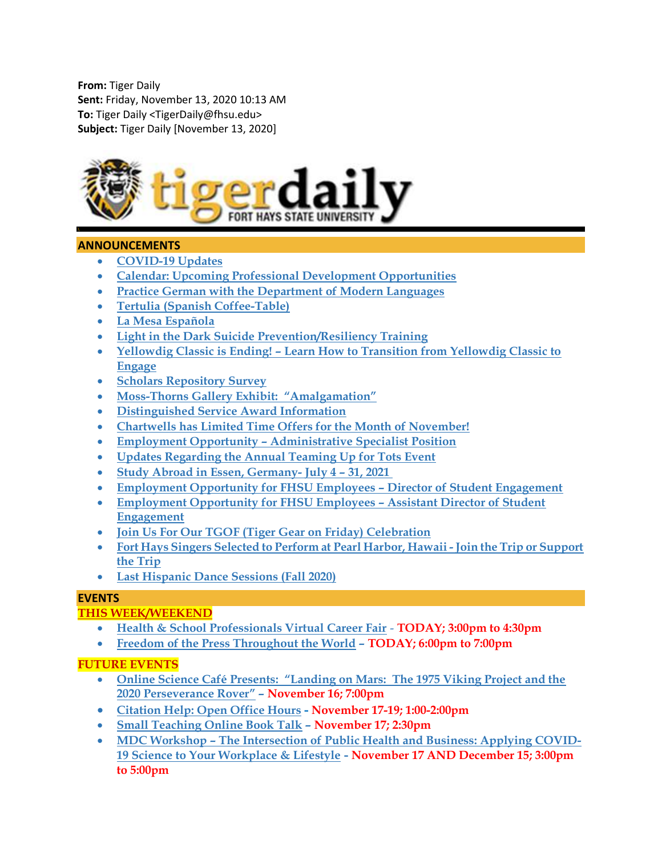From: Tiger Daily Sent: Friday, November 13, 2020 10:13 AM To: Tiger Daily <TigerDaily@fhsu.edu> Subject: Tiger Daily [November 13, 2020]



# ANNOUNCEMENTS

- COVID-19 Updates
- Calendar: Upcoming Professional Development Opportunities
- Practice German with the Department of Modern Languages
- Tertulia (Spanish Coffee-Table)
- La Mesa Española
- Light in the Dark Suicide Prevention/Resiliency Training
- Yellowdig Classic is Ending! Learn How to Transition from Yellowdig Classic to Engage
- **•** Scholars Repository Survey
- Moss-Thorns Gallery Exhibit: "Amalgamation"
- Distinguished Service Award Information
- Chartwells has Limited Time Offers for the Month of November!
- Employment Opportunity Administrative Specialist Position
- Updates Regarding the Annual Teaming Up for Tots Event
- Study Abroad in Essen, Germany- July 4 31, 2021
- Employment Opportunity for FHSU Employees Director of Student Engagement
- Employment Opportunity for FHSU Employees Assistant Director of Student Engagement
- Join Us For Our TGOF (Tiger Gear on Friday) Celebration
- Fort Hays Singers Selected to Perform at Pearl Harbor, Hawaii Join the Trip or Support the Trip
- Last Hispanic Dance Sessions (Fall 2020)

### **EVENTS**

# THIS WEEK/WEEKEND

- Health & School Professionals Virtual Career Fair TODAY; 3:00pm to 4:30pm
- Freedom of the Press Throughout the World TODAY; 6:00pm to 7:00pm

# FUTURE EVENTS

- Online Science Café Presents: "Landing on Mars: The 1975 Viking Project and the 2020 Perseverance Rover" – November 16; 7:00pm
- Citation Help: Open Office Hours November 17-19; 1:00-2:00pm
- Small Teaching Online Book Talk November 17; 2:30pm
- MDC Workshop The Intersection of Public Health and Business: Applying COVID-19 Science to Your Workplace & Lifestyle - November 17 AND December 15; 3:00pm to 5:00pm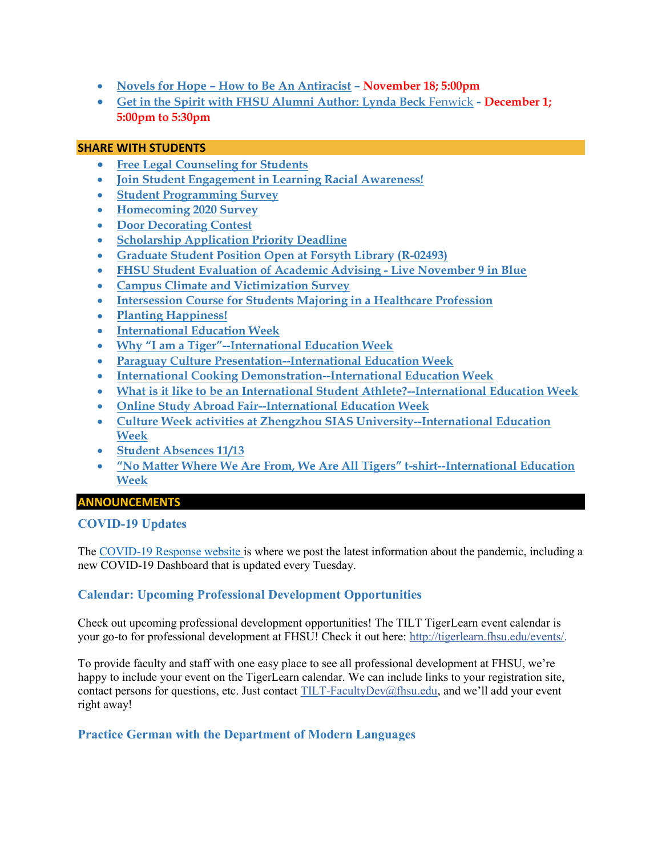- Novels for Hope How to Be An Antiracist November 18; 5:00pm
- Get in the Spirit with FHSU Alumni Author: Lynda Beck Fenwick December 1; 5:00pm to 5:30pm

#### SHARE WITH STUDENTS

- Free Legal Counseling for Students
- Join Student Engagement in Learning Racial Awareness!
- Student Programming Survey
- Homecoming 2020 Survey
- Door Decorating Contest
- Scholarship Application Priority Deadline
- Graduate Student Position Open at Forsyth Library (R-02493)
- FHSU Student Evaluation of Academic Advising Live November 9 in Blue
- Campus Climate and Victimization Survey
- Intersession Course for Students Majoring in a Healthcare Profession
- Planting Happiness!
- **•** International Education Week
- Why "I am a Tiger"--International Education Week
- Paraguay Culture Presentation--International Education Week
- International Cooking Demonstration--International Education Week
- What is it like to be an International Student Athlete?--International Education Week
- Online Study Abroad Fair--International Education Week
- Culture Week activities at Zhengzhou SIAS University--International Education Week
- Student Absences 11/13
- "No Matter Where We Are From, We Are All Tigers" t-shirt--International Education Week

# ANNOUNCEMENTS

### COVID-19 Updates

The COVID-19 Response website is where we post the latest information about the pandemic, including a new COVID-19 Dashboard that is updated every Tuesday.

# Calendar: Upcoming Professional Development Opportunities

Check out upcoming professional development opportunities! The TILT TigerLearn event calendar is your go-to for professional development at FHSU! Check it out here: http://tigerlearn.fhsu.edu/events/.

To provide faculty and staff with one easy place to see all professional development at FHSU, we're happy to include your event on the TigerLearn calendar. We can include links to your registration site, contact persons for questions, etc. Just contact TILT-FacultyDev@fhsu.edu, and we'll add your event right away!

### Practice German with the Department of Modern Languages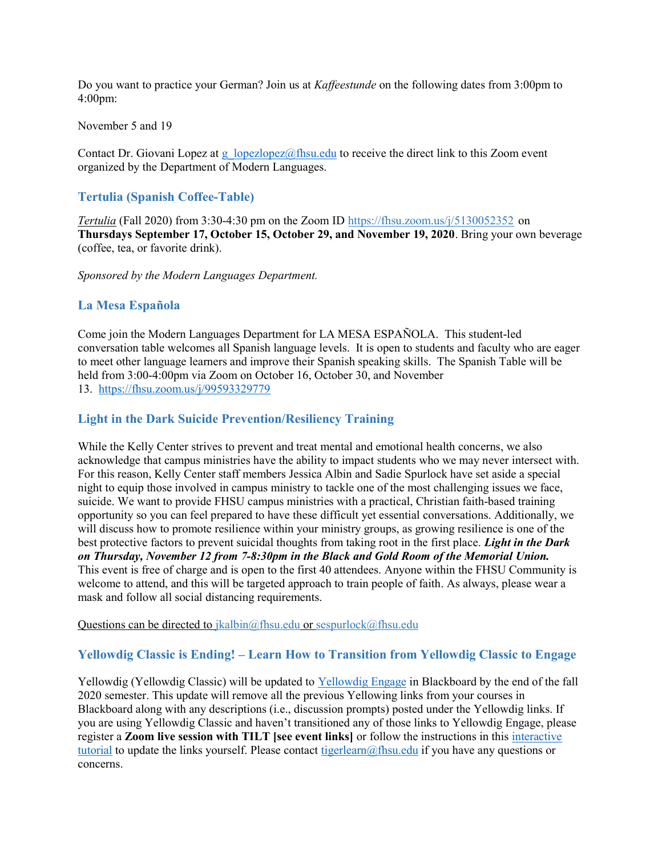Do you want to practice your German? Join us at Kaffeestunde on the following dates from 3:00pm to 4:00pm:

#### November 5 and 19

Contact Dr. Giovani Lopez at g  $\log z$  ( $\log z$ )  $\log z$  to receive the direct link to this Zoom event organized by the Department of Modern Languages.

#### Tertulia (Spanish Coffee-Table)

Tertulia (Fall 2020) from 3:30-4:30 pm on the Zoom ID https://fhsu.zoom.us/j/5130052352 on Thursdays September 17, October 15, October 29, and November 19, 2020. Bring your own beverage (coffee, tea, or favorite drink).

Sponsored by the Modern Languages Department.

#### La Mesa Española

Come join the Modern Languages Department for LA MESA ESPAÑOLA. This student-led conversation table welcomes all Spanish language levels. It is open to students and faculty who are eager to meet other language learners and improve their Spanish speaking skills. The Spanish Table will be held from 3:00-4:00pm via Zoom on October 16, October 30, and November 13. https://fhsu.zoom.us/j/99593329779

#### Light in the Dark Suicide Prevention/Resiliency Training

While the Kelly Center strives to prevent and treat mental and emotional health concerns, we also acknowledge that campus ministries have the ability to impact students who we may never intersect with. For this reason, Kelly Center staff members Jessica Albin and Sadie Spurlock have set aside a special night to equip those involved in campus ministry to tackle one of the most challenging issues we face, suicide. We want to provide FHSU campus ministries with a practical, Christian faith-based training opportunity so you can feel prepared to have these difficult yet essential conversations. Additionally, we will discuss how to promote resilience within your ministry groups, as growing resilience is one of the best protective factors to prevent suicidal thoughts from taking root in the first place. Light in the Dark on Thursday, November 12 from 7-8:30pm in the Black and Gold Room of the Memorial Union. This event is free of charge and is open to the first 40 attendees. Anyone within the FHSU Community is welcome to attend, and this will be targeted approach to train people of faith. As always, please wear a mask and follow all social distancing requirements.

Questions can be directed to jkalbin@fhsu.edu or sespurlock@fhsu.edu

#### Yellowdig Classic is Ending! – Learn How to Transition from Yellowdig Classic to Engage

Yellowdig (Yellowdig Classic) will be updated to Yellowdig Engage in Blackboard by the end of the fall 2020 semester. This update will remove all the previous Yellowing links from your courses in Blackboard along with any descriptions (i.e., discussion prompts) posted under the Yellowdig links. If you are using Yellowdig Classic and haven't transitioned any of those links to Yellowdig Engage, please register a Zoom live session with TILT [see event links] or follow the instructions in this interactive tutorial to update the links yourself. Please contact tigerlearn@fhsu.edu if you have any questions or concerns.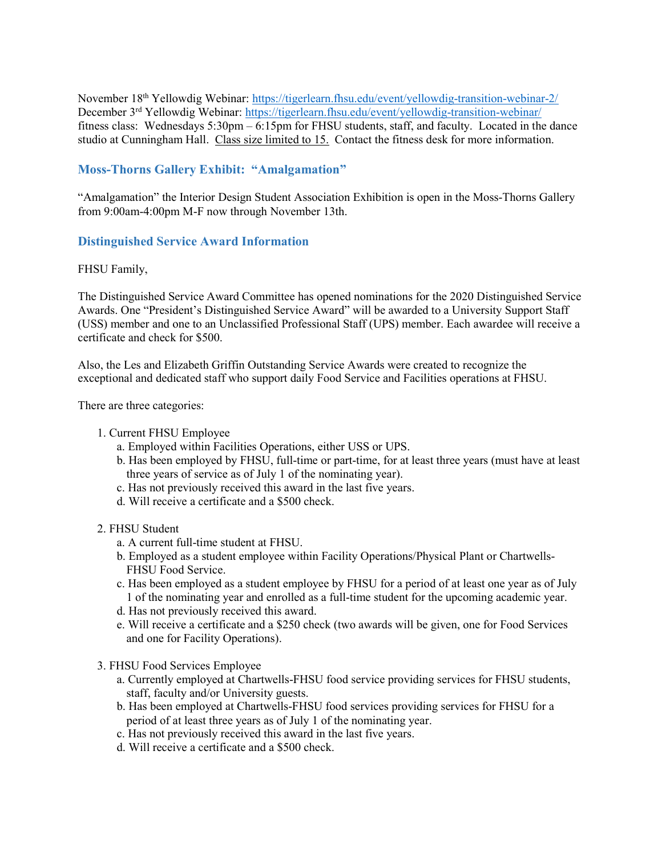November 18th Yellowdig Webinar: https://tigerlearn.fhsu.edu/event/yellowdig-transition-webinar-2/ December 3<sup>rd</sup> Yellowdig Webinar: https://tigerlearn.fhsu.edu/event/yellowdig-transition-webinar/ fitness class: Wednesdays 5:30pm – 6:15pm for FHSU students, staff, and faculty. Located in the dance studio at Cunningham Hall. Class size limited to 15. Contact the fitness desk for more information.

# Moss-Thorns Gallery Exhibit: "Amalgamation"

"Amalgamation" the Interior Design Student Association Exhibition is open in the Moss-Thorns Gallery from 9:00am-4:00pm M-F now through November 13th.

### Distinguished Service Award Information

#### FHSU Family,

The Distinguished Service Award Committee has opened nominations for the 2020 Distinguished Service Awards. One "President's Distinguished Service Award" will be awarded to a University Support Staff (USS) member and one to an Unclassified Professional Staff (UPS) member. Each awardee will receive a certificate and check for \$500.

Also, the Les and Elizabeth Griffin Outstanding Service Awards were created to recognize the exceptional and dedicated staff who support daily Food Service and Facilities operations at FHSU.

There are three categories:

- 1. Current FHSU Employee
	- a. Employed within Facilities Operations, either USS or UPS.
	- b. Has been employed by FHSU, full-time or part-time, for at least three years (must have at least three years of service as of July 1 of the nominating year).
	- c. Has not previously received this award in the last five years.
	- d. Will receive a certificate and a \$500 check.

#### 2. FHSU Student

- a. A current full-time student at FHSU.
- b. Employed as a student employee within Facility Operations/Physical Plant or Chartwells-FHSU Food Service.
- c. Has been employed as a student employee by FHSU for a period of at least one year as of July 1 of the nominating year and enrolled as a full-time student for the upcoming academic year.
- d. Has not previously received this award.
- e. Will receive a certificate and a \$250 check (two awards will be given, one for Food Services and one for Facility Operations).
- 3. FHSU Food Services Employee
	- a. Currently employed at Chartwells-FHSU food service providing services for FHSU students, staff, faculty and/or University guests.
	- b. Has been employed at Chartwells-FHSU food services providing services for FHSU for a period of at least three years as of July 1 of the nominating year.
	- c. Has not previously received this award in the last five years.
	- d. Will receive a certificate and a \$500 check.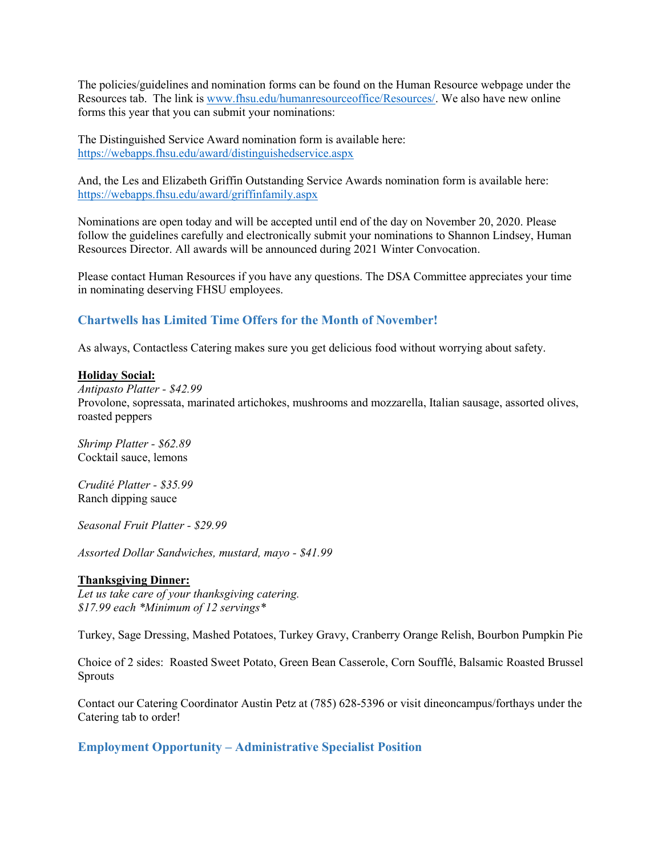The policies/guidelines and nomination forms can be found on the Human Resource webpage under the Resources tab. The link is www.fhsu.edu/humanresourceoffice/Resources/. We also have new online forms this year that you can submit your nominations:

The Distinguished Service Award nomination form is available here: https://webapps.fhsu.edu/award/distinguishedservice.aspx

And, the Les and Elizabeth Griffin Outstanding Service Awards nomination form is available here: https://webapps.fhsu.edu/award/griffinfamily.aspx

Nominations are open today and will be accepted until end of the day on November 20, 2020. Please follow the guidelines carefully and electronically submit your nominations to Shannon Lindsey, Human Resources Director. All awards will be announced during 2021 Winter Convocation.

Please contact Human Resources if you have any questions. The DSA Committee appreciates your time in nominating deserving FHSU employees.

#### Chartwells has Limited Time Offers for the Month of November!

As always, Contactless Catering makes sure you get delicious food without worrying about safety.

#### Holiday Social:

Antipasto Platter - \$42.99 Provolone, sopressata, marinated artichokes, mushrooms and mozzarella, Italian sausage, assorted olives, roasted peppers

Shrimp Platter - \$62.89 Cocktail sauce, lemons

Crudité Platter - \$35.99 Ranch dipping sauce

Seasonal Fruit Platter - \$29.99

Assorted Dollar Sandwiches, mustard, mayo - \$41.99

#### Thanksgiving Dinner:

Let us take care of your thanksgiving catering. \$17.99 each \*Minimum of 12 servings\*

Turkey, Sage Dressing, Mashed Potatoes, Turkey Gravy, Cranberry Orange Relish, Bourbon Pumpkin Pie

Choice of 2 sides: Roasted Sweet Potato, Green Bean Casserole, Corn Soufflé, Balsamic Roasted Brussel Sprouts

Contact our Catering Coordinator Austin Petz at (785) 628-5396 or visit dineoncampus/forthays under the Catering tab to order!

Employment Opportunity – Administrative Specialist Position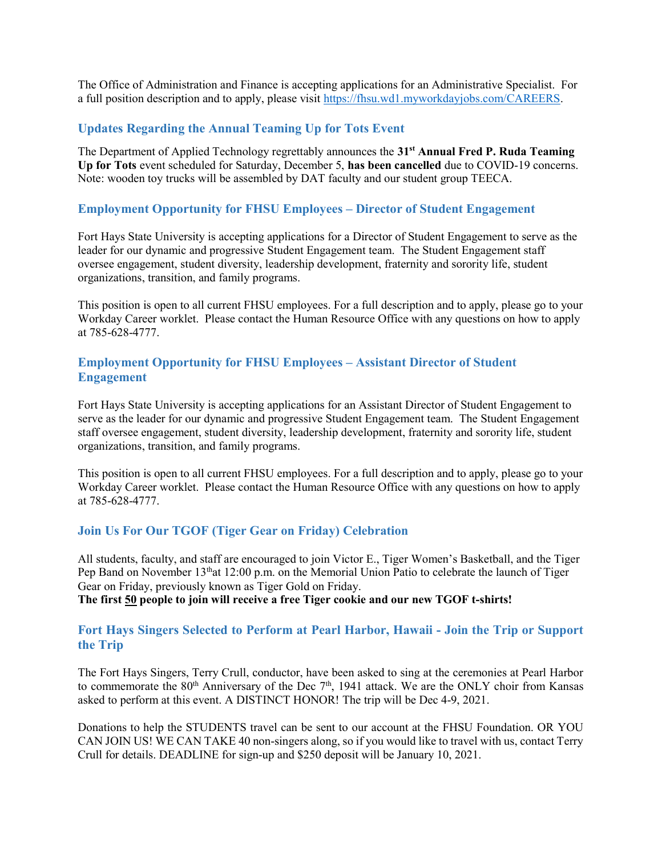The Office of Administration and Finance is accepting applications for an Administrative Specialist. For a full position description and to apply, please visit https://fhsu.wd1.myworkdayjobs.com/CAREERS.

#### Updates Regarding the Annual Teaming Up for Tots Event

The Department of Applied Technology regrettably announces the 31<sup>st</sup> Annual Fred P. Ruda Teaming Up for Tots event scheduled for Saturday, December 5, has been cancelled due to COVID-19 concerns. Note: wooden toy trucks will be assembled by DAT faculty and our student group TEECA.

#### Employment Opportunity for FHSU Employees – Director of Student Engagement

Fort Hays State University is accepting applications for a Director of Student Engagement to serve as the leader for our dynamic and progressive Student Engagement team. The Student Engagement staff oversee engagement, student diversity, leadership development, fraternity and sorority life, student organizations, transition, and family programs.

This position is open to all current FHSU employees. For a full description and to apply, please go to your Workday Career worklet. Please contact the Human Resource Office with any questions on how to apply at 785-628-4777.

### Employment Opportunity for FHSU Employees – Assistant Director of Student Engagement

Fort Hays State University is accepting applications for an Assistant Director of Student Engagement to serve as the leader for our dynamic and progressive Student Engagement team. The Student Engagement staff oversee engagement, student diversity, leadership development, fraternity and sorority life, student organizations, transition, and family programs.

This position is open to all current FHSU employees. For a full description and to apply, please go to your Workday Career worklet. Please contact the Human Resource Office with any questions on how to apply at 785-628-4777.

#### Join Us For Our TGOF (Tiger Gear on Friday) Celebration

All students, faculty, and staff are encouraged to join Victor E., Tiger Women's Basketball, and the Tiger Pep Band on November  $13<sup>th</sup>at 12:00$  p.m. on the Memorial Union Patio to celebrate the launch of Tiger Gear on Friday, previously known as Tiger Gold on Friday.

The first 50 people to join will receive a free Tiger cookie and our new TGOF t-shirts!

#### Fort Hays Singers Selected to Perform at Pearl Harbor, Hawaii - Join the Trip or Support the Trip

The Fort Hays Singers, Terry Crull, conductor, have been asked to sing at the ceremonies at Pearl Harbor to commemorate the  $80<sup>th</sup>$  Anniversary of the Dec  $7<sup>th</sup>$ , 1941 attack. We are the ONLY choir from Kansas asked to perform at this event. A DISTINCT HONOR! The trip will be Dec 4-9, 2021.

Donations to help the STUDENTS travel can be sent to our account at the FHSU Foundation. OR YOU CAN JOIN US! WE CAN TAKE 40 non-singers along, so if you would like to travel with us, contact Terry Crull for details. DEADLINE for sign-up and \$250 deposit will be January 10, 2021.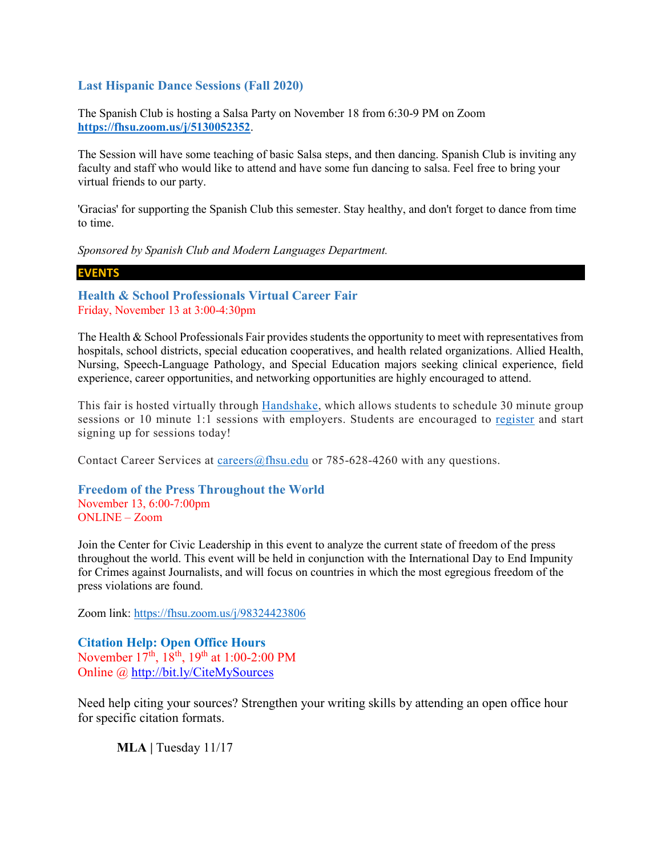#### Last Hispanic Dance Sessions (Fall 2020)

The Spanish Club is hosting a Salsa Party on November 18 from 6:30-9 PM on Zoom https://fhsu.zoom.us/j/5130052352.

The Session will have some teaching of basic Salsa steps, and then dancing. Spanish Club is inviting any faculty and staff who would like to attend and have some fun dancing to salsa. Feel free to bring your virtual friends to our party.

'Gracias' for supporting the Spanish Club this semester. Stay healthy, and don't forget to dance from time to time.

Sponsored by Spanish Club and Modern Languages Department.

EVENTS

Health & School Professionals Virtual Career Fair Friday, November 13 at 3:00-4:30pm

The Health & School Professionals Fair provides students the opportunity to meet with representatives from hospitals, school districts, special education cooperatives, and health related organizations. Allied Health, Nursing, Speech-Language Pathology, and Special Education majors seeking clinical experience, field experience, career opportunities, and networking opportunities are highly encouraged to attend.

This fair is hosted virtually through Handshake, which allows students to schedule 30 minute group sessions or 10 minute 1:1 sessions with employers. Students are encouraged to register and start signing up for sessions today!

Contact Career Services at careers@fhsu.edu or 785-628-4260 with any questions.

Freedom of the Press Throughout the World November 13, 6:00-7:00pm ONLINE – Zoom

Join the Center for Civic Leadership in this event to analyze the current state of freedom of the press throughout the world. This event will be held in conjunction with the International Day to End Impunity for Crimes against Journalists, and will focus on countries in which the most egregious freedom of the press violations are found.

Zoom link: https://fhsu.zoom.us/j/98324423806

Citation Help: Open Office Hours November  $17^{th}$ ,  $18^{th}$ ,  $19^{th}$  at 1:00-2:00 PM Online @ http://bit.ly/CiteMySources

Need help citing your sources? Strengthen your writing skills by attending an open office hour for specific citation formats.

MLA | Tuesday 11/17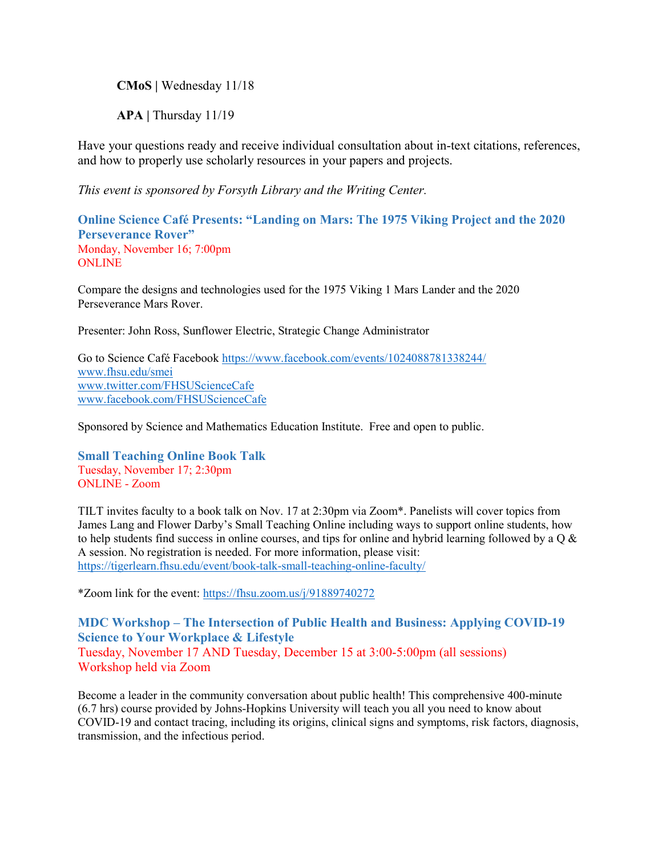CMoS | Wednesday 11/18

APA | Thursday 11/19

Have your questions ready and receive individual consultation about in-text citations, references, and how to properly use scholarly resources in your papers and projects.

This event is sponsored by Forsyth Library and the Writing Center.

Online Science Café Presents: "Landing on Mars: The 1975 Viking Project and the 2020 Perseverance Rover" Monday, November 16; 7:00pm **ONLINE** 

Compare the designs and technologies used for the 1975 Viking 1 Mars Lander and the 2020 Perseverance Mars Rover.

Presenter: John Ross, Sunflower Electric, Strategic Change Administrator

Go to Science Café Facebook https://www.facebook.com/events/1024088781338244/ www.fhsu.edu/smei www.twitter.com/FHSUScienceCafe www.facebook.com/FHSUScienceCafe

Sponsored by Science and Mathematics Education Institute. Free and open to public.

Small Teaching Online Book Talk Tuesday, November 17; 2:30pm ONLINE - Zoom

TILT invites faculty to a book talk on Nov. 17 at 2:30pm via Zoom\*. Panelists will cover topics from James Lang and Flower Darby's Small Teaching Online including ways to support online students, how to help students find success in online courses, and tips for online and hybrid learning followed by a  $\alpha \&$ A session. No registration is needed. For more information, please visit: https://tigerlearn.fhsu.edu/event/book-talk-small-teaching-online-faculty/

\*Zoom link for the event: https://fhsu.zoom.us/j/91889740272

MDC Workshop – The Intersection of Public Health and Business: Applying COVID-19 Science to Your Workplace & Lifestyle Tuesday, November 17 AND Tuesday, December 15 at 3:00-5:00pm (all sessions) Workshop held via Zoom

Become a leader in the community conversation about public health! This comprehensive 400-minute (6.7 hrs) course provided by Johns-Hopkins University will teach you all you need to know about COVID-19 and contact tracing, including its origins, clinical signs and symptoms, risk factors, diagnosis, transmission, and the infectious period.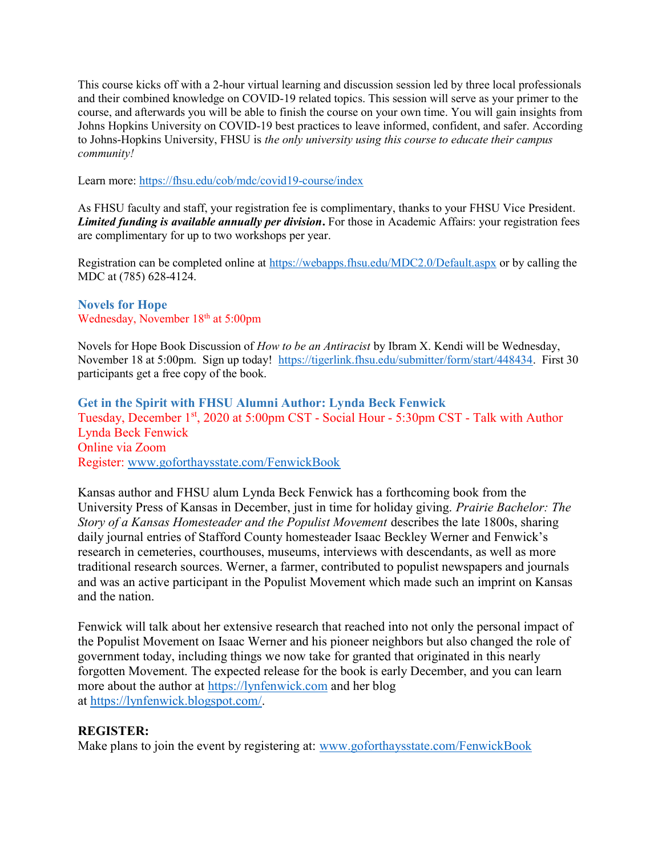This course kicks off with a 2-hour virtual learning and discussion session led by three local professionals and their combined knowledge on COVID-19 related topics. This session will serve as your primer to the course, and afterwards you will be able to finish the course on your own time. You will gain insights from Johns Hopkins University on COVID-19 best practices to leave informed, confident, and safer. According to Johns-Hopkins University, FHSU is the only university using this course to educate their campus community!

Learn more: https://fhsu.edu/cob/mdc/covid19-course/index

As FHSU faculty and staff, your registration fee is complimentary, thanks to your FHSU Vice President. Limited funding is available annually per division. For those in Academic Affairs: your registration fees are complimentary for up to two workshops per year.

Registration can be completed online at https://webapps.fhsu.edu/MDC2.0/Default.aspx or by calling the MDC at (785) 628-4124.

### Novels for Hope Wednesday, November 18<sup>th</sup> at 5:00pm

Novels for Hope Book Discussion of How to be an Antiracist by Ibram X. Kendi will be Wednesday, November 18 at 5:00pm. Sign up today! https://tigerlink.fhsu.edu/submitter/form/start/448434. First 30 participants get a free copy of the book.

Get in the Spirit with FHSU Alumni Author: Lynda Beck Fenwick Tuesday, December 1<sup>st</sup>, 2020 at 5:00pm CST - Social Hour - 5:30pm CST - Talk with Author Lynda Beck Fenwick Online via Zoom Register: www.goforthaysstate.com/FenwickBook

Kansas author and FHSU alum Lynda Beck Fenwick has a forthcoming book from the University Press of Kansas in December, just in time for holiday giving. Prairie Bachelor: The Story of a Kansas Homesteader and the Populist Movement describes the late 1800s, sharing daily journal entries of Stafford County homesteader Isaac Beckley Werner and Fenwick's research in cemeteries, courthouses, museums, interviews with descendants, as well as more traditional research sources. Werner, a farmer, contributed to populist newspapers and journals and was an active participant in the Populist Movement which made such an imprint on Kansas and the nation.

Fenwick will talk about her extensive research that reached into not only the personal impact of the Populist Movement on Isaac Werner and his pioneer neighbors but also changed the role of government today, including things we now take for granted that originated in this nearly forgotten Movement. The expected release for the book is early December, and you can learn more about the author at https://lynfenwick.com and her blog at https://lynfenwick.blogspot.com/.

### REGISTER:

Make plans to join the event by registering at: www.goforthaysstate.com/FenwickBook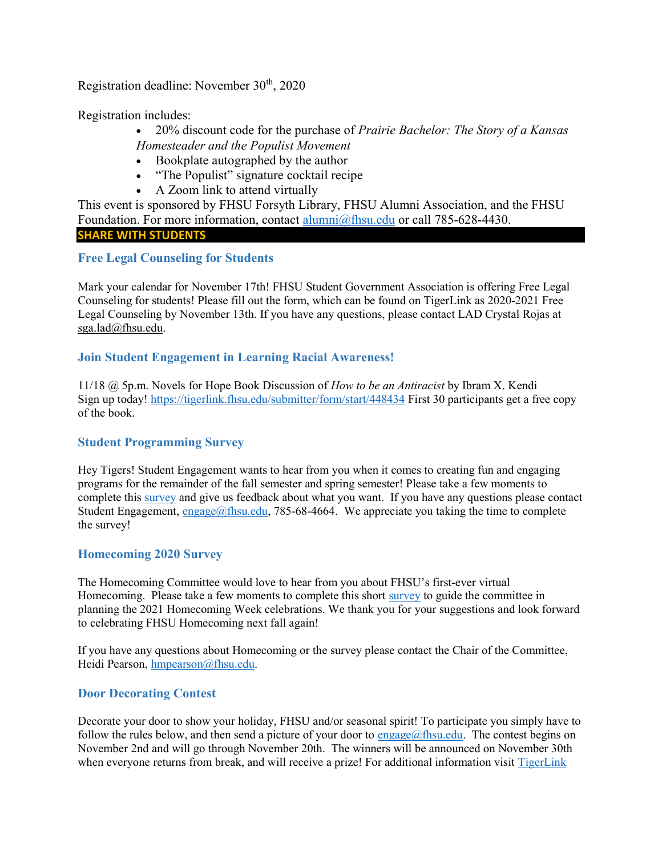Registration deadline: November 30<sup>th</sup>, 2020

Registration includes:

 $\bullet$  20% discount code for the purchase of *Prairie Bachelor: The Story of a Kansas* Homesteader and the Populist Movement

- Bookplate autographed by the author
- "The Populist" signature cocktail recipe
- A Zoom link to attend virtually

This event is sponsored by FHSU Forsyth Library, FHSU Alumni Association, and the FHSU Foundation. For more information, contact alumni@fhsu.edu or call 785-628-4430. SHARE WITH STUDENTS

# Free Legal Counseling for Students

Mark your calendar for November 17th! FHSU Student Government Association is offering Free Legal Counseling for students! Please fill out the form, which can be found on TigerLink as 2020-2021 Free Legal Counseling by November 13th. If you have any questions, please contact LAD Crystal Rojas at sga.lad@fhsu.edu.

# Join Student Engagement in Learning Racial Awareness!

11/18 @ 5p.m. Novels for Hope Book Discussion of How to be an Antiracist by Ibram X. Kendi Sign up today! https://tigerlink.fhsu.edu/submitter/form/start/448434 First 30 participants get a free copy of the book.

# Student Programming Survey

Hey Tigers! Student Engagement wants to hear from you when it comes to creating fun and engaging programs for the remainder of the fall semester and spring semester! Please take a few moments to complete this survey and give us feedback about what you want. If you have any questions please contact Student Engagement, engage@fhsu.edu, 785-68-4664. We appreciate you taking the time to complete the survey!

### Homecoming 2020 Survey

The Homecoming Committee would love to hear from you about FHSU's first-ever virtual Homecoming. Please take a few moments to complete this short survey to guide the committee in planning the 2021 Homecoming Week celebrations. We thank you for your suggestions and look forward to celebrating FHSU Homecoming next fall again!

If you have any questions about Homecoming or the survey please contact the Chair of the Committee, Heidi Pearson, hmpearson@fhsu.edu.

# Door Decorating Contest

Decorate your door to show your holiday, FHSU and/or seasonal spirit! To participate you simply have to follow the rules below, and then send a picture of your door to engage@fhsu.edu. The contest begins on November 2nd and will go through November 20th. The winners will be announced on November 30th when everyone returns from break, and will receive a prize! For additional information visit TigerLink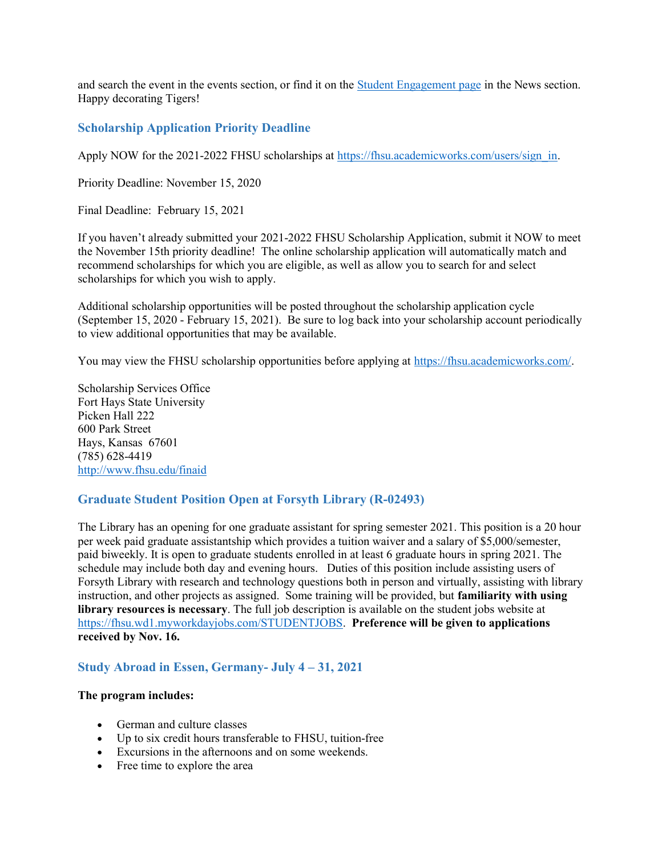and search the event in the events section, or find it on the Student Engagement page in the News section. Happy decorating Tigers!

# Scholarship Application Priority Deadline

Apply NOW for the 2021-2022 FHSU scholarships at https://fhsu.academicworks.com/users/sign\_in.

Priority Deadline: November 15, 2020

Final Deadline: February 15, 2021

If you haven't already submitted your 2021-2022 FHSU Scholarship Application, submit it NOW to meet the November 15th priority deadline! The online scholarship application will automatically match and recommend scholarships for which you are eligible, as well as allow you to search for and select scholarships for which you wish to apply.

Additional scholarship opportunities will be posted throughout the scholarship application cycle (September 15, 2020 - February 15, 2021). Be sure to log back into your scholarship account periodically to view additional opportunities that may be available.

You may view the FHSU scholarship opportunities before applying at https://fhsu.academicworks.com/.

Scholarship Services Office Fort Hays State University Picken Hall 222 600 Park Street Hays, Kansas 67601 (785) 628-4419 http://www.fhsu.edu/finaid

### Graduate Student Position Open at Forsyth Library (R-02493)

The Library has an opening for one graduate assistant for spring semester 2021. This position is a 20 hour per week paid graduate assistantship which provides a tuition waiver and a salary of \$5,000/semester, paid biweekly. It is open to graduate students enrolled in at least 6 graduate hours in spring 2021. The schedule may include both day and evening hours. Duties of this position include assisting users of Forsyth Library with research and technology questions both in person and virtually, assisting with library instruction, and other projects as assigned. Some training will be provided, but familiarity with using library resources is necessary. The full job description is available on the student jobs website at https://fhsu.wd1.myworkdayjobs.com/STUDENTJOBS. Preference will be given to applications received by Nov. 16.

### Study Abroad in Essen, Germany- July 4 – 31, 2021

#### The program includes:

- German and culture classes
- Up to six credit hours transferable to FHSU, tuition-free
- Excursions in the afternoons and on some weekends.
- Free time to explore the area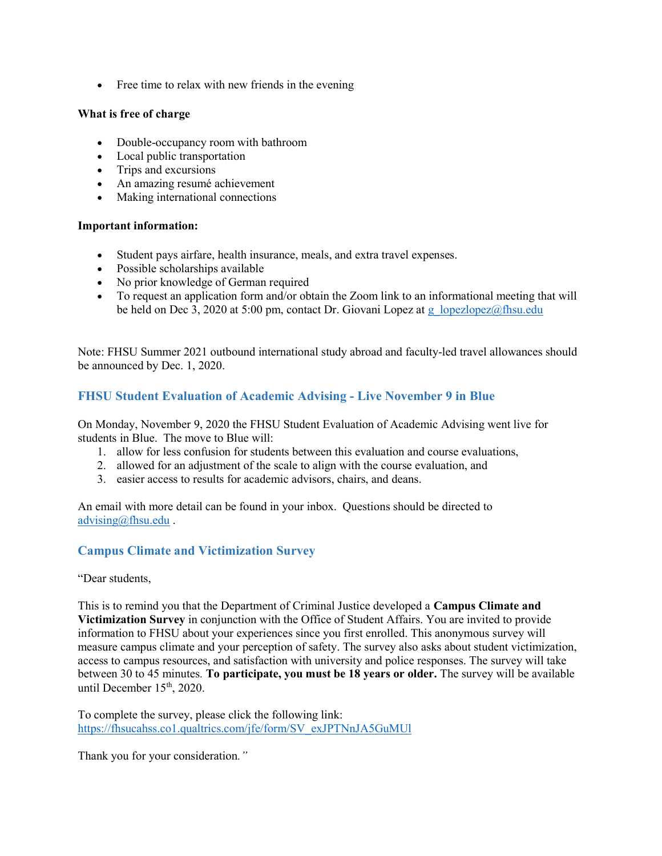• Free time to relax with new friends in the evening

#### What is free of charge

- Double-occupancy room with bathroom
- Local public transportation
- Trips and excursions
- An amazing resumé achievement
- Making international connections

#### Important information:

- Student pays airfare, health insurance, meals, and extra travel expenses.
- Possible scholarships available
- No prior knowledge of German required
- To request an application form and/or obtain the Zoom link to an informational meeting that will be held on Dec 3, 2020 at 5:00 pm, contact Dr. Giovani Lopez at g\_lopezlopez@fhsu.edu

Note: FHSU Summer 2021 outbound international study abroad and faculty-led travel allowances should be announced by Dec. 1, 2020.

# FHSU Student Evaluation of Academic Advising - Live November 9 in Blue

On Monday, November 9, 2020 the FHSU Student Evaluation of Academic Advising went live for students in Blue. The move to Blue will:

- 1. allow for less confusion for students between this evaluation and course evaluations,
- 2. allowed for an adjustment of the scale to align with the course evaluation, and
- 3. easier access to results for academic advisors, chairs, and deans.

An email with more detail can be found in your inbox. Questions should be directed to advising@fhsu.edu .

# Campus Climate and Victimization Survey

"Dear students,

This is to remind you that the Department of Criminal Justice developed a Campus Climate and Victimization Survey in conjunction with the Office of Student Affairs. You are invited to provide information to FHSU about your experiences since you first enrolled. This anonymous survey will measure campus climate and your perception of safety. The survey also asks about student victimization, access to campus resources, and satisfaction with university and police responses. The survey will take between 30 to 45 minutes. To participate, you must be 18 years or older. The survey will be available until December 15<sup>th</sup>, 2020.

To complete the survey, please click the following link: https://fhsucahss.co1.qualtrics.com/jfe/form/SV\_exJPTNnJA5GuMUl

Thank you for your consideration."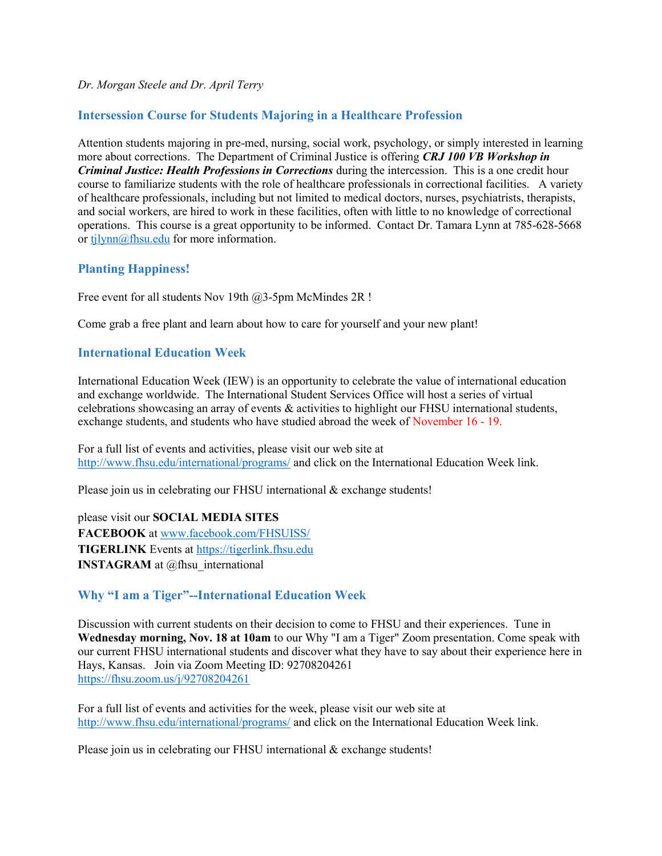#### Dr. Morgan Steele and Dr. April Terry

# Intersession Course for Students Majoring in a Healthcare Profession

Attention students majoring in pre-med, nursing, social work, psychology, or simply interested in learning more about corrections. The Department of Criminal Justice is offering CRJ 100 VB Workshop in Criminal Justice: Health Professions in Corrections during the intercession. This is a one credit hour course to familiarize students with the role of healthcare professionals in correctional facilities. A variety of healthcare professionals, including but not limited to medical doctors, nurses, psychiatrists, therapists, and social workers, are hired to work in these facilities, often with little to no knowledge of correctional operations. This course is a great opportunity to be informed. Contact Dr. Tamara Lynn at 785-628-5668 or tjlynn@fhsu.edu for more information.

### Planting Happiness!

Free event for all students Nov 19th @3-5pm McMindes 2R !

Come grab a free plant and learn about how to care for yourself and your new plant!

### International Education Week

International Education Week (IEW) is an opportunity to celebrate the value of international education and exchange worldwide. The International Student Services Office will host a series of virtual celebrations showcasing an array of events & activities to highlight our FHSU international students, exchange students, and students who have studied abroad the week of November 16 - 19.

For a full list of events and activities, please visit our web site at http://www.fhsu.edu/international/programs/ and click on the International Education Week link.

Please join us in celebrating our FHSU international & exchange students!

please visit our SOCIAL MEDIA SITES FACEBOOK at www.facebook.com/FHSUISS/ TIGERLINK Events at https://tigerlink.fhsu.edu INSTAGRAM at @fhsu international

### Why "I am a Tiger"--International Education Week

Discussion with current students on their decision to come to FHSU and their experiences. Tune in Wednesday morning, Nov. 18 at 10am to our Why "I am a Tiger" Zoom presentation. Come speak with our current FHSU international students and discover what they have to say about their experience here in Hays, Kansas. Join via Zoom Meeting ID: 92708204261 https://fhsu.zoom.us/j/92708204261

For a full list of events and activities for the week, please visit our web site at http://www.fhsu.edu/international/programs/ and click on the International Education Week link.

Please join us in celebrating our FHSU international & exchange students!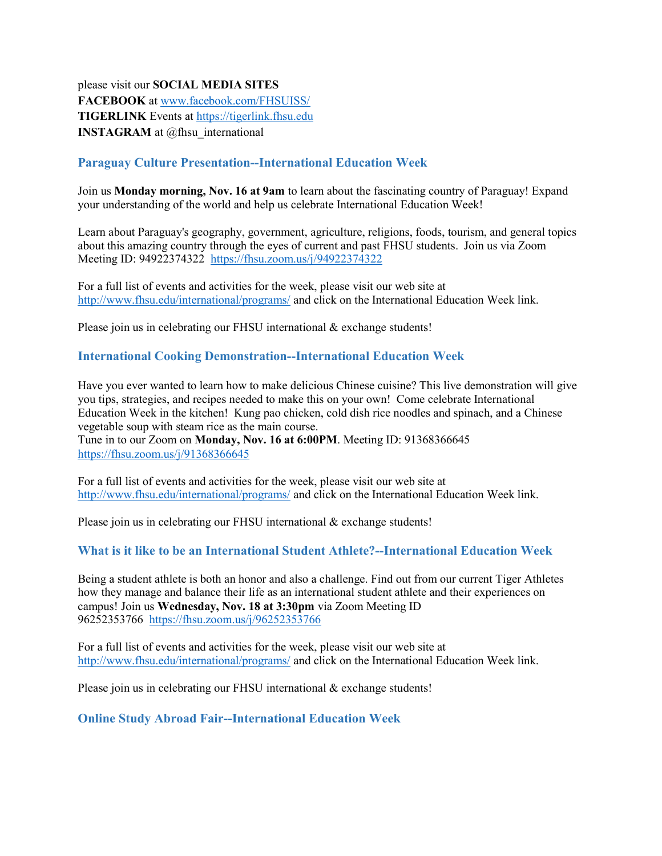please visit our SOCIAL MEDIA SITES FACEBOOK at www.facebook.com/FHSUISS/ TIGERLINK Events at https://tigerlink.fhsu.edu INSTAGRAM at @fhsu international

# Paraguay Culture Presentation--International Education Week

Join us **Monday morning, Nov. 16 at 9am** to learn about the fascinating country of Paraguay! Expand your understanding of the world and help us celebrate International Education Week!

Learn about Paraguay's geography, government, agriculture, religions, foods, tourism, and general topics about this amazing country through the eyes of current and past FHSU students. Join us via Zoom Meeting ID: 94922374322 https://fhsu.zoom.us/j/94922374322

For a full list of events and activities for the week, please visit our web site at http://www.fhsu.edu/international/programs/ and click on the International Education Week link.

Please join us in celebrating our FHSU international & exchange students!

### International Cooking Demonstration--International Education Week

Have you ever wanted to learn how to make delicious Chinese cuisine? This live demonstration will give you tips, strategies, and recipes needed to make this on your own! Come celebrate International Education Week in the kitchen! Kung pao chicken, cold dish rice noodles and spinach, and a Chinese vegetable soup with steam rice as the main course.

Tune in to our Zoom on Monday, Nov. 16 at 6:00PM. Meeting ID: 91368366645 https://fhsu.zoom.us/j/91368366645

For a full list of events and activities for the week, please visit our web site at http://www.fhsu.edu/international/programs/ and click on the International Education Week link.

Please join us in celebrating our FHSU international & exchange students!

### What is it like to be an International Student Athlete?--International Education Week

Being a student athlete is both an honor and also a challenge. Find out from our current Tiger Athletes how they manage and balance their life as an international student athlete and their experiences on campus! Join us Wednesday, Nov. 18 at 3:30pm via Zoom Meeting ID 96252353766 https://fhsu.zoom.us/j/96252353766

For a full list of events and activities for the week, please visit our web site at http://www.fhsu.edu/international/programs/ and click on the International Education Week link.

Please join us in celebrating our FHSU international & exchange students!

#### Online Study Abroad Fair--International Education Week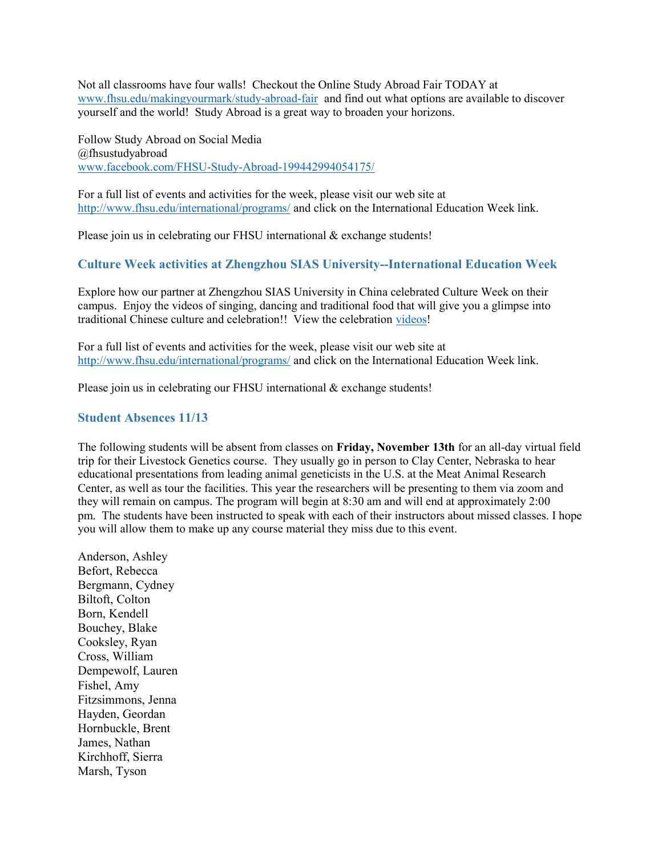Not all classrooms have four walls! Checkout the Online Study Abroad Fair TODAY at www.fhsu.edu/makingyourmark/study-abroad-fair and find out what options are available to discover yourself and the world! Study Abroad is a great way to broaden your horizons.

Follow Study Abroad on Social Media @fhsustudyabroad www.facebook.com/FHSU-Study-Abroad-199442994054175/

For a full list of events and activities for the week, please visit our web site at http://www.fhsu.edu/international/programs/ and click on the International Education Week link.

Please join us in celebrating our FHSU international & exchange students!

### Culture Week activities at Zhengzhou SIAS University--International Education Week

Explore how our partner at Zhengzhou SIAS University in China celebrated Culture Week on their campus. Enjoy the videos of singing, dancing and traditional food that will give you a glimpse into traditional Chinese culture and celebration!! View the celebration videos!

For a full list of events and activities for the week, please visit our web site at http://www.fhsu.edu/international/programs/ and click on the International Education Week link.

Please join us in celebrating our FHSU international & exchange students!

#### Student Absences 11/13

The following students will be absent from classes on Friday, November 13th for an all-day virtual field trip for their Livestock Genetics course. They usually go in person to Clay Center, Nebraska to hear educational presentations from leading animal geneticists in the U.S. at the Meat Animal Research Center, as well as tour the facilities. This year the researchers will be presenting to them via zoom and they will remain on campus. The program will begin at 8:30 am and will end at approximately 2:00 pm. The students have been instructed to speak with each of their instructors about missed classes. I hope you will allow them to make up any course material they miss due to this event.

Anderson, Ashley Befort, Rebecca Bergmann, Cydney Biltoft, Colton Born, Kendell Bouchey, Blake Cooksley, Ryan Cross, William Dempewolf, Lauren Fishel, Amy Fitzsimmons, Jenna Hayden, Geordan Hornbuckle, Brent James, Nathan Kirchhoff, Sierra Marsh, Tyson